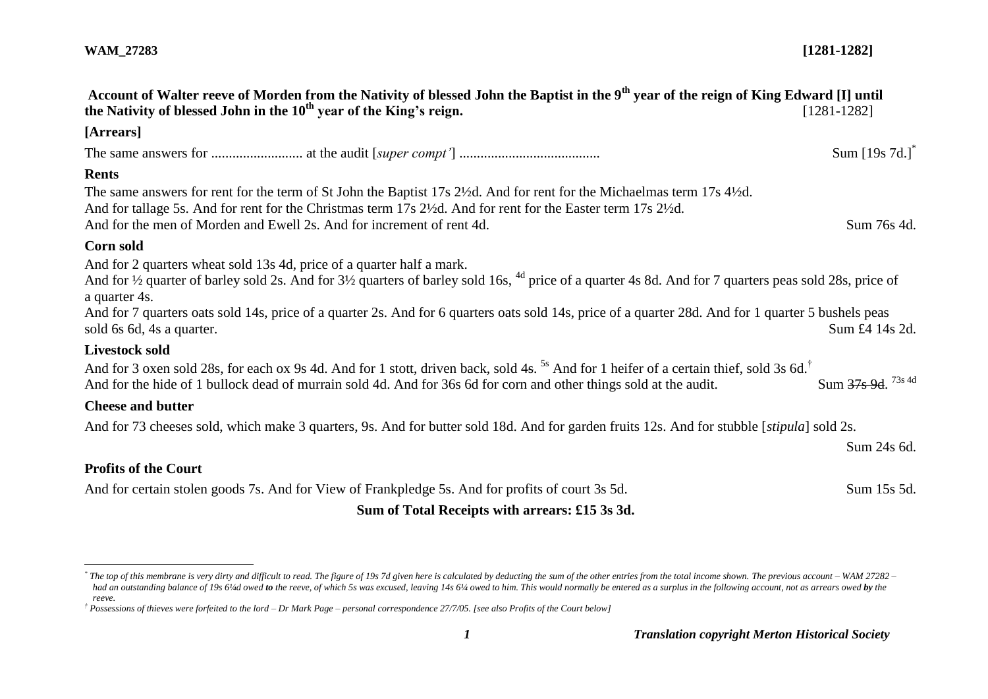$\overline{a}$ 

| Account of Walter reeve of Morden from the Nativity of blessed John the Baptist in the 9 <sup>th</sup> year of the reign of King Edward [I] until<br>the Nativity of blessed John in the $10th$ year of the King's reign.                                                                                   | $[1281 - 1282]$    |
|-------------------------------------------------------------------------------------------------------------------------------------------------------------------------------------------------------------------------------------------------------------------------------------------------------------|--------------------|
| [Arrears]                                                                                                                                                                                                                                                                                                   |                    |
|                                                                                                                                                                                                                                                                                                             | Sum $[19s 7d.]^*$  |
| <b>Rents</b>                                                                                                                                                                                                                                                                                                |                    |
| The same answers for rent for the term of St John the Baptist 17s 2½d. And for rent for the Michaelmas term 17s 4½d.<br>And for tallage 5s. And for rent for the Christmas term 17s 2½d. And for rent for the Easter term 17s 2½d.<br>And for the men of Morden and Ewell 2s. And for increment of rent 4d. | Sum 76s 4d.        |
| Corn sold                                                                                                                                                                                                                                                                                                   |                    |
| And for 2 quarters wheat sold 13s 4d, price of a quarter half a mark.<br>And for <sup>1</sup> /2 quarter of barley sold 2s. And for 3 <sup>1</sup> /2 quarters of barley sold 16s, <sup>4d</sup> price of a quarter 4s 8d. And for 7 quarters peas sold 28s, price of<br>a quarter 4s.                      |                    |
| And for 7 quarters oats sold 14s, price of a quarter 2s. And for 6 quarters oats sold 14s, price of a quarter 28d. And for 1 quarter 5 bushels peas<br>sold 6s 6d, 4s a quarter.                                                                                                                            | Sum £4 14s 2d.     |
| Livestock sold                                                                                                                                                                                                                                                                                              |                    |
| And for 3 oxen sold 28s, for each ox 9s 4d. And for 1 stott, driven back, sold 4s. <sup>5s</sup> And for 1 heifer of a certain thief, sold 3s 6d. <sup>†</sup><br>And for the hide of 1 bullock dead of murrain sold 4d. And for 36s 6d for corn and other things sold at the audit.                        | Sum 37s 9d. 73s 4d |
| <b>Cheese and butter</b>                                                                                                                                                                                                                                                                                    |                    |
| And for 73 cheeses sold, which make 3 quarters, 9s. And for butter sold 18d. And for garden fruits 12s. And for stubble [stipula] sold 2s.                                                                                                                                                                  |                    |
|                                                                                                                                                                                                                                                                                                             | Sum 24s 6d.        |
| <b>Profits of the Court</b>                                                                                                                                                                                                                                                                                 |                    |
| And for certain stolen goods 7s. And for View of Frankpledge 5s. And for profits of court 3s 5d.                                                                                                                                                                                                            | Sum 15s 5d.        |

# **Sum of Total Receipts with arrears: £15 3s 3d.**

<sup>\*</sup> The top of this membrane is very dirty and difficult to read. The figure of 19s 7d given here is calculated by deducting the sum of the other entries from the total income shown. The previous account – WAM 27282 had an outstanding balance of 19s 6/4d owed to the reeve, of which 5s was excused, leaving 14s 6/4 owed to him. This would normally be entered as a surplus in the following account, not as arrears owed by the *reeve.*

*<sup>†</sup> Possessions of thieves were forfeited to the lord – Dr Mark Page – personal correspondence 27/7/05. [see also Profits of the Court below]*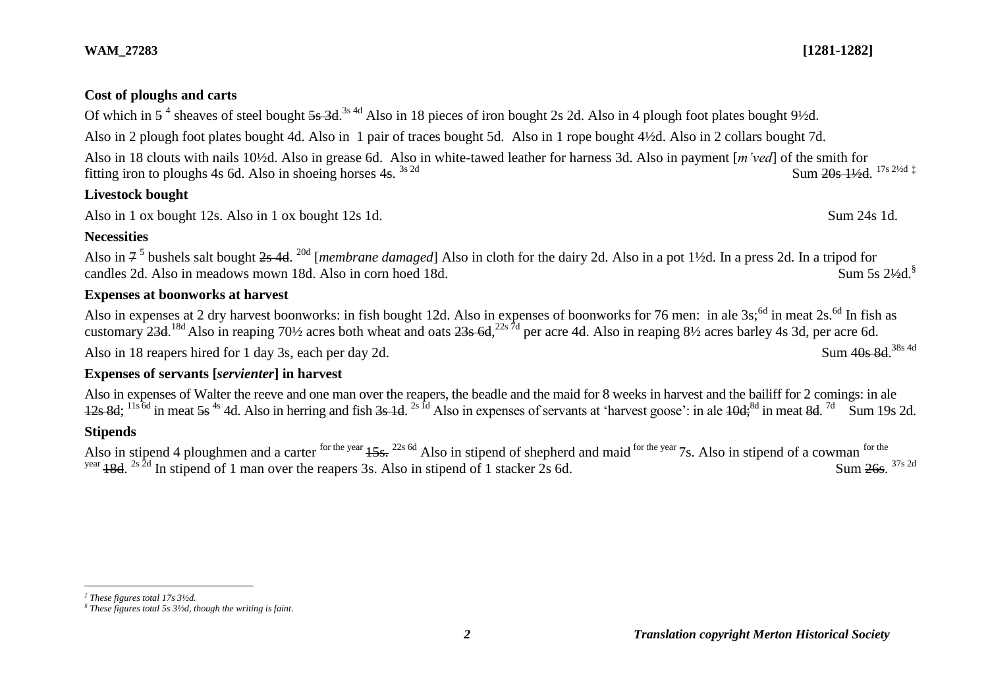#### **WAM\_27283 [1281-1282]**

## **Cost of ploughs and carts**

Of which in  $5^4$  sheaves of steel bought  $5s$  3d.  $^{3s}$  4d Also in 18 pieces of iron bought 2s 2d. Also in 4 plough foot plates bought 9½d. Also in 2 plough foot plates bought 4d. Also in 1 pair of traces bought 5d. Also in 1 rope bought 4½d. Also in 2 collars bought 7d. Also in 18 clouts with nails 10½d. Also in grease 6d. Also in white-tawed leather for harness 3d. Also in payment [*m'ved*] of the smith for fitting iron to ploughs 4s 6d. Also in shoeing horses 4s.  $3s$  2d  $\text{Sum } 20s$   $1\frac{1}{s}$   $2\frac{1}{s}$   $\frac{1}{s}$   $\frac{20s}{s}$   $\frac{1}{s}$   $\frac{1}{s}$ 

## **Livestock bought**

Also in 1 ox bought 12s. Also in 1 ox bought 12s 1d. Sum 24s 1d.

## **Necessities**

Also in 7<sup>5</sup> bushels salt bought <del>2s 4d</del>. <sup>20d</sup> [*membrane damaged*] Also in cloth for the dairy 2d. Also in a pot 1½d. In a press 2d. In a tripod for candles 2d. Also in meadows mown 18d. Also in corn hoed 18d. Sum 5s 2 $\frac{1}{2}$ d.§

## **Expenses at boonworks at harvest**

Also in expenses at 2 dry harvest boonworks: in fish bought 12d. Also in expenses of boonworks for 76 men: in ale 3s;<sup>6d</sup> in meat 2s.<sup>6d</sup> In fish as customary 23d. <sup>18d</sup> Also in reaping 70½ acres both wheat and oats 23s 6d, <sup>22s 7d</sup> per acre 4d. Also in reaping 8½ acres barley 4s 3d, per acre 6d. Also in 18 reapers hired for 1 day 3s, each per day 2d. Sum 40s 8d 38s 4d

### **Expenses of servants [***servienter***] in harvest**

Also in expenses of Walter the reeve and one man over the reapers, the beadle and the maid for 8 weeks in harvest and the bailiff for 2 comings: in ale  $12s$  8d;  $^{11s}$ <sup>5d</sup> in meat 5s<sup>4s</sup> 4d. Also in herring and fish 3s 1d. <sup>2s fd</sup> Also in expenses of servants at 'harvest goose': in ale  $10d$ ;<sup>8d</sup> in meat 8d. <sup>7d</sup> Sum 19s 2d.

### **Stipends**

 $\overline{a}$ 

Also in stipend 4 ploughmen and a carter for the year  $15s$ . <sup>22s 6d</sup> Also in stipend of shepherd and maid for the year 7s. Also in stipend of a cowman for the <sup>year</sup> 18d. <sup>2s 2d</sup> In stipend of 1 man over the reapers 3s. Also in stipend of 1 stacker 2s 6d. Sum 26s. Sum 26s 37s 2d

*<sup>‡</sup> These figures total 17s 3½d.*

*<sup>§</sup> These figures total 5s 3½d, though the writing is faint.*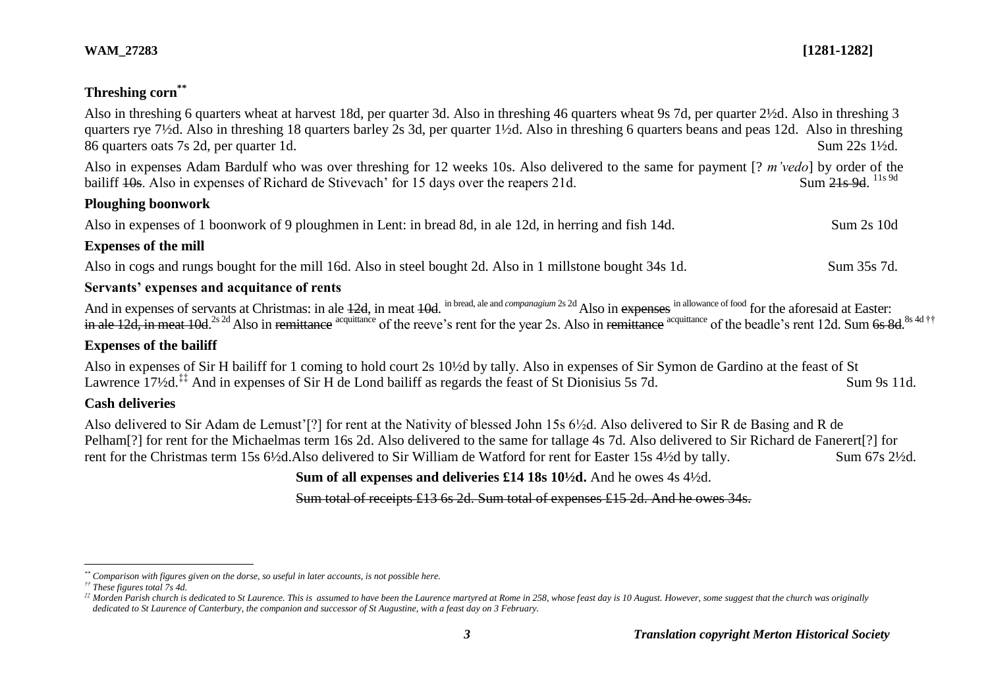4d ††

# **Threshing corn\*\***

| Also in threshing 6 quarters wheat at harvest 18d, per quarter 3d. Also in threshing 46 quarters wheat 9s 7d, per quarter 2½d. Also in threshing 3<br>quarters rye 7 <sup>1</sup> /2d. Also in threshing 18 quarters barley 2s 3d, per quarter 1 <sup>1</sup> /2d. Also in threshing 6 quarters beans and peas 12d. Also in threshing<br>86 quarters oats 7s 2d, per quarter 1d.                   | Sum 22s 1½d.                  |
|----------------------------------------------------------------------------------------------------------------------------------------------------------------------------------------------------------------------------------------------------------------------------------------------------------------------------------------------------------------------------------------------------|-------------------------------|
| Also in expenses Adam Bardulf who was over threshing for 12 weeks 10s. Also delivered to the same for payment [? <i>m'vedo</i> ] by order of the<br>bailiff 40s. Also in expenses of Richard de Stivevach' for 15 days over the reapers 21d.                                                                                                                                                       | Sum 21s 9d. <sup>11s 9d</sup> |
| <b>Ploughing boonwork</b>                                                                                                                                                                                                                                                                                                                                                                          |                               |
| Also in expenses of 1 boonwork of 9 ploughmen in Lent: in bread 8d, in ale 12d, in herring and fish 14d.                                                                                                                                                                                                                                                                                           | Sum 2s 10d                    |
| <b>Expenses of the mill</b>                                                                                                                                                                                                                                                                                                                                                                        |                               |
| Also in cogs and rungs bought for the mill 16d. Also in steel bought 2d. Also in 1 millstone bought 34s 1d.                                                                                                                                                                                                                                                                                        | Sum 35s 7d.                   |
| Servants' expenses and acquitance of rents                                                                                                                                                                                                                                                                                                                                                         |                               |
| And in expenses of servants at Christmas: in ale 12d, in meat 10d. in bread, ale and companagium 2s 2d Also in expenses in allowance of food for the aforesaid at Easter:<br>in ale 12d, in meat 10d. <sup>2s 2d</sup> Also in remittance <sup>acquittance</sup> of the reeve's rent for the year 2s. Also in remittance <sup>acquittance</sup> of the beadle's rent 12d. Sum 6s 8d. <sup>8s</sup> |                               |
| <b>Expenses of the bailiff</b>                                                                                                                                                                                                                                                                                                                                                                     |                               |
| Also in expenses of Sir H bailiff for 1 coming to hold court 2s 10 <sup>1</sup> /2d by tally. Also in expenses of Sir Symon de Gardino at the feast of St<br>Lawrence 17 <sup>1</sup> / <sub>2</sub> d. <sup>‡‡</sup> And in expenses of Sir H de Lond bailiff as regards the feast of St Dionisius 5s 7d.                                                                                         | Sum 9s 11d.                   |

## **Cash deliveries**

Also delivered to Sir Adam de Lemust'[?] for rent at the Nativity of blessed John 15s 6½d. Also delivered to Sir R de Basing and R de Pelham[?] for rent for the Michaelmas term 16s 2d. Also delivered to the same for tallage 4s 7d. Also delivered to Sir Richard de Fanerert[?] for rent for the Christmas term 15s 6½d.Also delivered to Sir William de Watford for rent for Easter 15s 4½d by tally. Sum 67s 2½d.

**Sum of all expenses and deliveries £14 18s 10½d.** And he owes 4s 4½d.

Sum total of receipts £13 6s 2d. Sum total of expenses £15 2d. And he owes 34s.

 $\overline{a}$ 

*<sup>\*\*</sup> Comparison with figures given on the dorse, so useful in later accounts, is not possible here.*

*<sup>††</sup> These figures total 7s 4d.*

*<sup>‡‡</sup> Morden Parish church is dedicated to St Laurence. This is assumed to have been the Laurence martyred at Rome in 258, whose feast day is 10 August. However, some suggest that the church was originally dedicated to St Laurence of Canterbury, the companion and successor of St Augustine, with a feast day on 3 February.*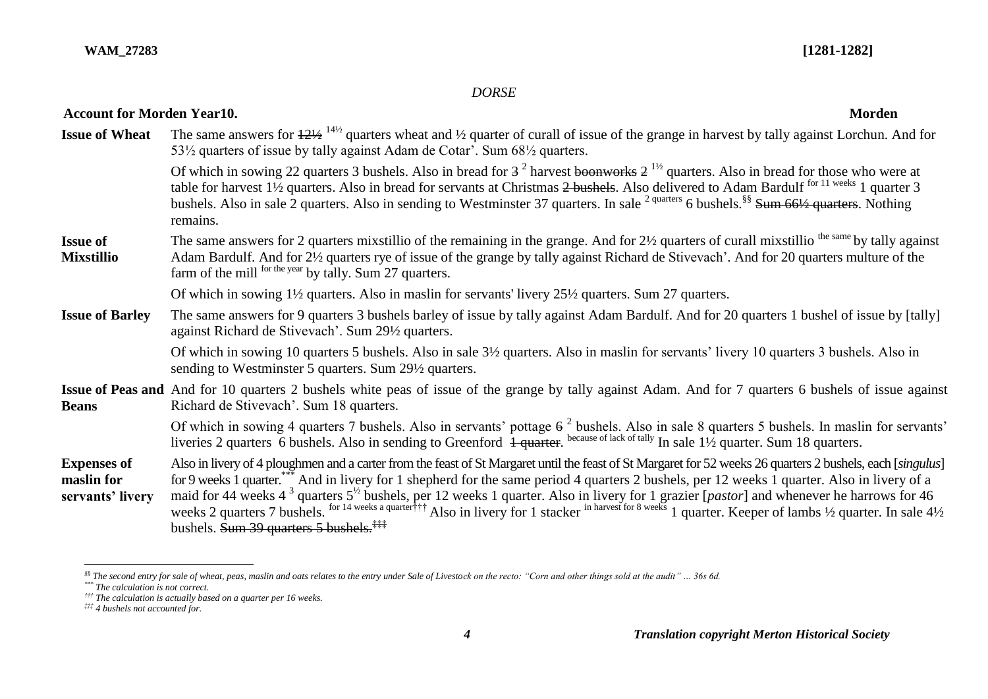## *DORSE*

| Attoument iversiteen etan ev                         |                                                                                                                                                                                                                                                                                                                                                                                                                                                                                                                                                                                                                            |
|------------------------------------------------------|----------------------------------------------------------------------------------------------------------------------------------------------------------------------------------------------------------------------------------------------------------------------------------------------------------------------------------------------------------------------------------------------------------------------------------------------------------------------------------------------------------------------------------------------------------------------------------------------------------------------------|
| <b>Issue of Wheat</b>                                | The same answers for $\frac{121}{2}$ <sup>141/2</sup> quarters wheat and 1/2 quarter of curall of issue of the grange in harvest by tally against Lorchun. And for<br>53 <sup>1</sup> / <sub>2</sub> quarters of issue by tally against Adam de Cotar'. Sum 68 <sup>1</sup> / <sub>2</sub> quarters.                                                                                                                                                                                                                                                                                                                       |
|                                                      | Of which in sowing 22 quarters 3 bushels. Also in bread for $3^2$ harvest boonworks $2^{1/2}$ quarters. Also in bread for those who were at<br>table for harvest 1 <sup>1</sup> / <sub>2</sub> quarters. Also in bread for servants at Christmas 2 bushels. Also delivered to Adam Bardulf <sup>for 11 weeks</sup> 1 quarter 3<br>bushels. Also in sale 2 quarters. Also in sending to Westminster 37 quarters. In sale <sup>2 quarters</sup> 6 bushels. <sup>§§</sup> Sum 66½ quarters. Nothing<br>remains.                                                                                                               |
| <b>Issue of</b><br><b>Mixstillio</b>                 | The same answers for 2 quarters mixstillio of the remaining in the grange. And for $2\frac{1}{2}$ quarters of curall mixstillio the same by tally against<br>Adam Bardulf. And for 2½ quarters rye of issue of the grange by tally against Richard de Stivevach'. And for 20 quarters multure of the<br>farm of the mill <sup>for the year</sup> by tally. Sum 27 quarters.                                                                                                                                                                                                                                                |
|                                                      | Of which in sowing 1 <sup>1</sup> / <sub>2</sub> quarters. Also in maslin for servants' livery 25 <sup>1</sup> / <sub>2</sub> quarters. Sum 27 quarters.                                                                                                                                                                                                                                                                                                                                                                                                                                                                   |
| <b>Issue of Barley</b>                               | The same answers for 9 quarters 3 bushels barley of issue by tally against Adam Bardulf. And for 20 quarters 1 bushel of issue by [tally]<br>against Richard de Stivevach'. Sum 291/2 quarters.                                                                                                                                                                                                                                                                                                                                                                                                                            |
|                                                      | Of which in sowing 10 quarters 5 bushels. Also in sale $3\frac{1}{2}$ quarters. Also in maslin for servants' livery 10 quarters 3 bushels. Also in<br>sending to Westminster 5 quarters. Sum 29 <sup>1</sup> / <sub>2</sub> quarters.                                                                                                                                                                                                                                                                                                                                                                                      |
| <b>Beans</b>                                         | <b>Issue of Peas and</b> And for 10 quarters 2 bushels white peas of issue of the grange by tally against Adam. And for 7 quarters 6 bushels of issue against<br>Richard de Stivevach'. Sum 18 quarters.                                                                                                                                                                                                                                                                                                                                                                                                                   |
|                                                      | Of which in sowing 4 quarters 7 bushels. Also in servants' pottage $6^2$ bushels. Also in sale 8 quarters 5 bushels. In maslin for servants'<br>liveries 2 quarters 6 bushels. Also in sending to Greenford 1 quarter. because of lack of tally In sale 11/2 quarter. Sum 18 quarters.                                                                                                                                                                                                                                                                                                                                     |
| <b>Expenses of</b><br>maslin for<br>servants' livery | Also in livery of 4 ploughmen and a carter from the feast of St Margaret until the feast of St Margaret for 52 weeks 26 quarters 2 bushels, each [singulus]<br>for 9 weeks 1 quarter. And in livery for 1 shepherd for the same period 4 quarters 2 bushels, per 12 weeks 1 quarter. Also in livery of a<br>maid for 44 weeks 4 <sup>3</sup> quarters $5^{1/2}$ bushels, per 12 weeks 1 quarter. Also in livery for 1 grazier [ <i>pastor</i> ] and whenever he harrows for 46 weeks 2 quarters 7 bushels. <sup>for 14 weeks a quarter†††</sup> Also in livery for 1<br>bushels. Sum 39 quarters 5 bushels. <sup>###</sup> |

 $\overline{a}$ 

# **Account for Morden Year10. Morden**

*<sup>§§</sup> The second entry for sale of wheat, peas, maslin and oats relates to the entry under Sale of Livestock on the recto: "Corn and other things sold at the audit" … 36s 6d.*

*<sup>\*\*\*</sup> The calculation is not correct.*

*<sup>†††</sup> The calculation is actually based on a quarter per 16 weeks.*

*<sup>‡‡‡</sup> 4 bushels not accounted for.*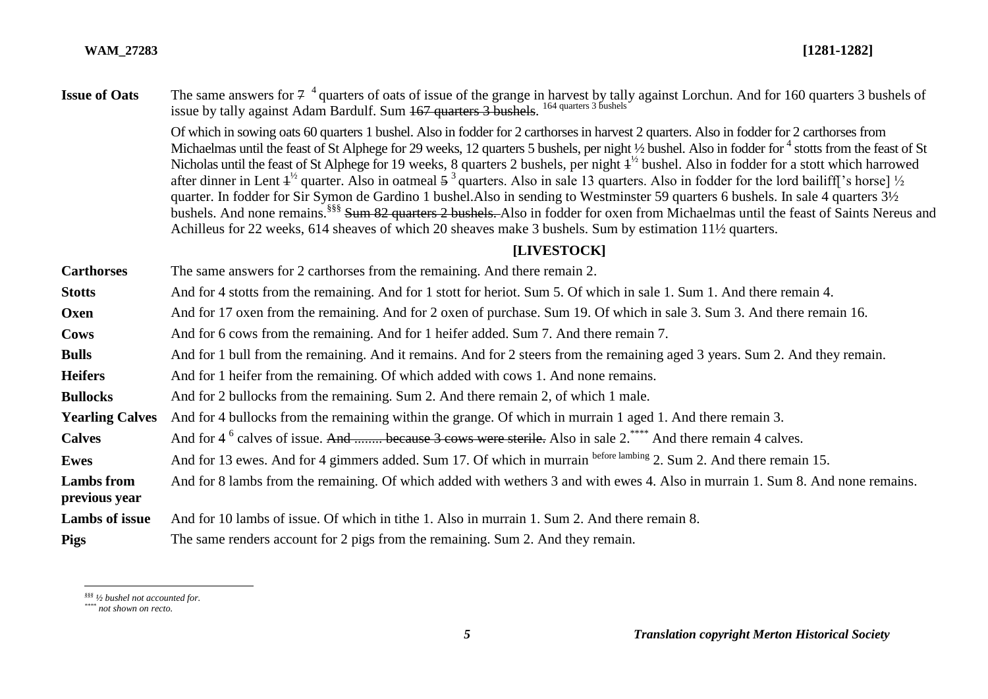**Issue of Oats** The same answers for  $7^{-4}$  quarters of oats of issue of the grange in harvest by tally against Lorchun. And for 160 quarters 3 bushels of issue by tally against Adam Bardulf. Sum 167 quarters 3 bushels.<sup>164 quarters 3 bushels</sup>

> Of which in sowing oats 60 quarters 1 bushel. Also in fodder for 2 carthorses in harvest 2 quarters. Also in fodder for 2 carthorses from Michaelmas until the feast of St Alphege for 29 weeks, 12 quarters 5 bushels, per night 1/2 bushel. Also in fodder for <sup>4</sup> stotts from the feast of St Nicholas until the feast of St Alphege for 19 weeks, 8 quarters 2 bushels, per night  $4<sup>1/2</sup>$  bushel. Also in fodder for a stott which harrowed after dinner in Lent  $4^{1/2}$  quarter. Also in oatmeal  $5^3$  quarters. Also in sale 13 quarters. Also in fodder for the lord bailiff['s horse]  $\frac{1}{2}$ quarter. In fodder for Sir Symon de Gardino 1 bushel.Also in sending to Westminster 59 quarters 6 bushels. In sale 4 quarters 3½ bushels. And none remains.<sup>§§§§</sup> Sum 82 quarters 2 bushels. Also in fodder for oxen from Michaelmas until the feast of Saints Nereus and Achilleus for 22 weeks, 614 sheaves of which 20 sheaves make 3 bushels. Sum by estimation 11½ quarters.

#### **[LIVESTOCK]**

**Carthorses** The same answers for 2 carthorses from the remaining. And there remain 2. **Stotts** And for 4 stotts from the remaining. And for 1 stott for heriot. Sum 5. Of which in sale 1. Sum 1. And there remain 4. **Oxen** And for 17 oxen from the remaining. And for 2 oxen of purchase. Sum 19. Of which in sale 3. Sum 3. And there remain 16. **Cows** And for 6 cows from the remaining. And for 1 heifer added. Sum 7. And there remain 7. **Bulls** And for 1 bull from the remaining. And it remains. And for 2 steers from the remaining aged 3 years. Sum 2. And they remain. **Heifers** And for 1 heifer from the remaining. Of which added with cows 1. And none remains. **Bullocks** And for 2 bullocks from the remaining. Sum 2. And there remain 2, of which 1 male. **Yearling Calves** And for 4 bullocks from the remaining within the grange. Of which in murrain 1 aged 1. And there remain 3. Calves And for 4<sup>6</sup> calves of issue. And ........ because 3 cows were sterile. Also in sale 2.<sup>\*\*\*\*</sup> And there remain 4 calves. **Ewes** And for 13 ewes. And for 4 gimmers added. Sum 17. Of which in murrain before lambing 2. Sum 2. And there remain 15. **Lambs from previous year** And for 8 lambs from the remaining. Of which added with wethers 3 and with ewes 4. Also in murrain 1. Sum 8. And none remains. **Lambs of issue** And for 10 lambs of issue. Of which in tithe 1. Also in murrain 1. Sum 2. And there remain 8. **Pigs** The same renders account for 2 pigs from the remaining. Sum 2. And they remain.

 $\overline{a}$ *§§§ ½ bushel not accounted for.*

*<sup>\*\*\*\*</sup> not shown on recto.*